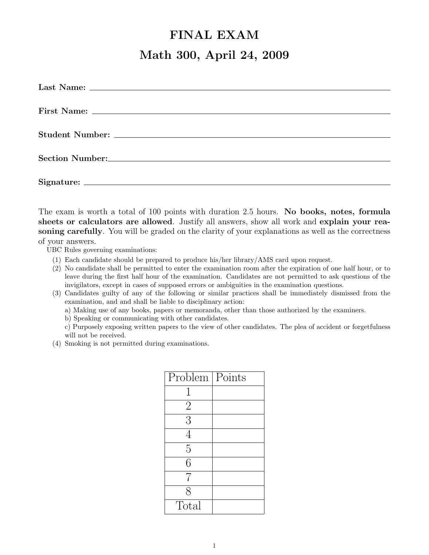## FINAL EXAM Math 300, April 24, 2009

The exam is worth a total of 100 points with duration 2.5 hours. No books, notes, formula sheets or calculators are allowed. Justify all answers, show all work and explain your reasoning carefully. You will be graded on the clarity of your explanations as well as the correctness of your answers.

UBC Rules governing examinations:

- (1) Each candidate should be prepared to produce his/her library/AMS card upon request.
- (2) No candidate shall be permitted to enter the examination room after the expiration of one half hour, or to leave during the first half hour of the examination. Candidates are not permitted to ask questions of the invigilators, except in cases of supposed errors or ambiguities in the examination questions.
- (3) Candidates guilty of any of the following or similar practices shall be immediately dismissed from the examination, and and shall be liable to disciplinary action:

a) Making use of any books, papers or memoranda, other than those authorized by the examiners.

b) Speaking or communicating with other candidates.

c) Purposely exposing written papers to the view of other candidates. The plea of accident or forgetfulness will not be received.

(4) Smoking is not permitted during examinations.

| Problem        | Points |
|----------------|--------|
| 1              |        |
| $\overline{2}$ |        |
| 3              |        |
| $\overline{4}$ |        |
| $\overline{5}$ |        |
| 6              |        |
| 7              |        |
| 8              |        |
| Total          |        |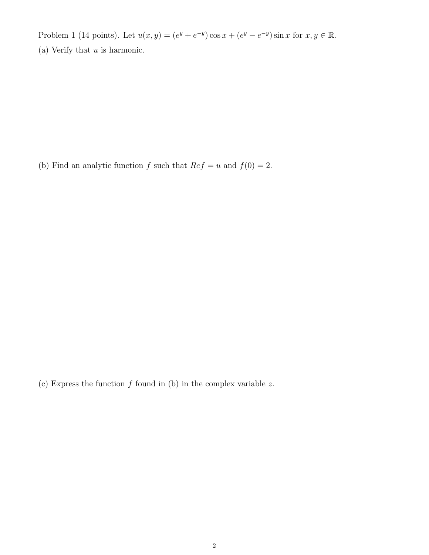Problem 1 (14 points). Let  $u(x, y) = (e^y + e^{-y}) \cos x + (e^y - e^{-y}) \sin x$  for  $x, y \in \mathbb{R}$ . (a) Verify that  $u$  is harmonic.

(b) Find an analytic function  $f$  such that  $Ref = u$  and  $f(0) = 2$ .

(c) Express the function  $f$  found in (b) in the complex variable  $z$ .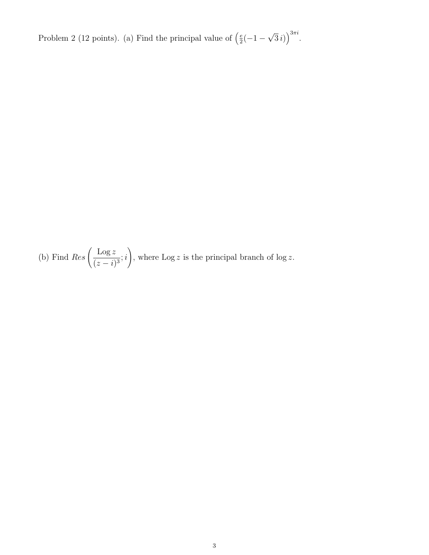Problem 2 (12 points). (a) Find the principal value of  $\left(\frac{e}{2}\right)$  $\frac{e}{2}(-1 -$ √  $\overline{3}i)\big)^{3\pi i}.$ 

(b) Find 
$$
Res\left(\frac{Log z}{(z-i)^3};i\right)
$$
, where  $Log z$  is the principal branch of  $log z$ .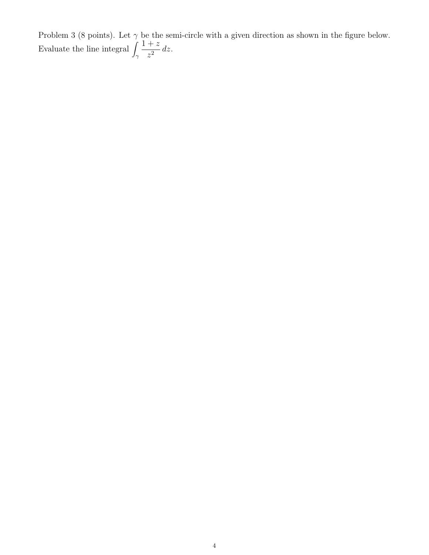Problem 3 (8 points). Let  $\gamma$  be the semi-circle with a given direction as shown in the figure below. Evaluate the line integral  $\int_{\gamma}$  $1 + z$  $\int_{z^2}^{z^2} dz.$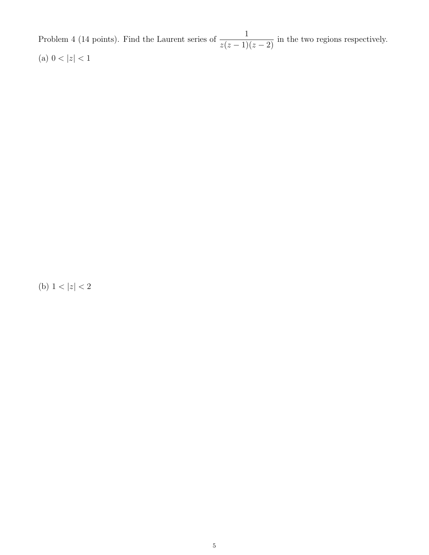Problem 4 (14 points). Find the Laurent series of  $\frac{1}{\sqrt{1}}$  $\frac{1}{z(z-1)(z-2)}$  in the two regions respectively. (a)  $0 < |z| < 1$ 

(b)  $1 < |z| < 2$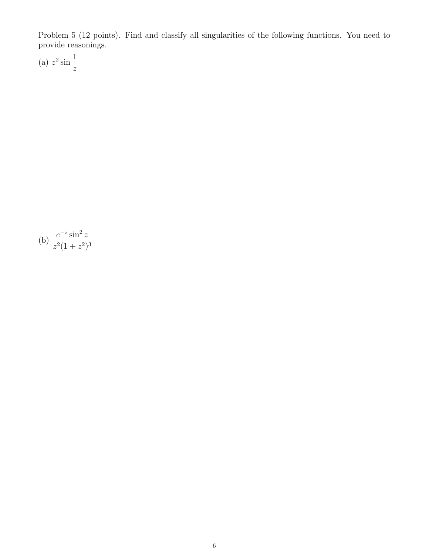Problem 5 (12 points). Find and classify all singularities of the following functions. You need to provide reasonings.

(a)  $z^2 \sin$ 1 z

(b) 
$$
\frac{e^{-z} \sin^2 z}{z^2 (1 + z^2)^3}
$$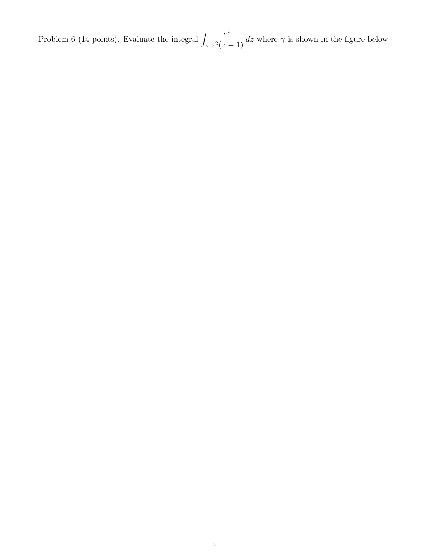Problem 6 (14 points). Evaluate the integral  $\int_{\gamma}$ e z  $\frac{c}{z^2(z-1)}$  dz where  $\gamma$  is shown in the figure below.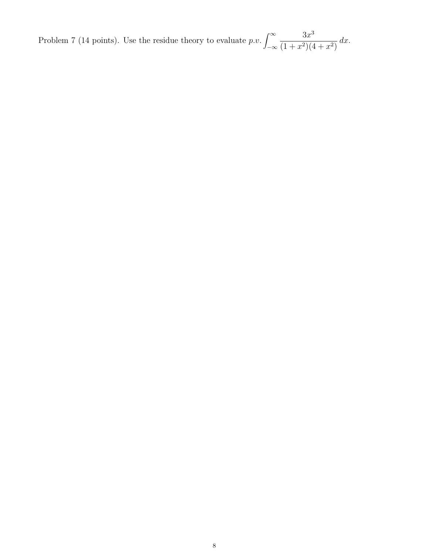Problem 7 (14 points). Use the residue theory to evaluate  $p.v. \int_{-\infty}^{\infty}$  $3x^3$  $(1+x^2)(4+x^2)$  $dx$ .